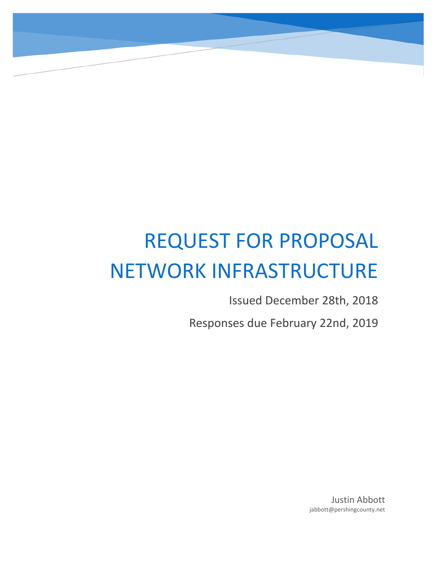# REQUEST FOR PROPOSAL NETWORK INFRASTRUCTURE

Issued December 28th, 2018

Responses due February 22nd, 2019

Justin Abbott jabbott@pershingcounty.net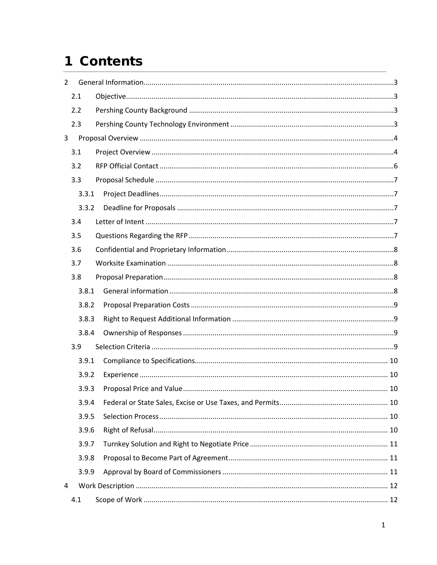# 1 Contents

| $\overline{2}$ |       |  |
|----------------|-------|--|
|                | 2.1   |  |
|                | 2.2   |  |
|                | 2.3   |  |
| 3              |       |  |
|                | 3.1   |  |
|                | 3.2   |  |
|                | 3.3   |  |
|                | 3.3.1 |  |
|                | 3.3.2 |  |
|                | 3.4   |  |
|                | 3.5   |  |
|                | 3.6   |  |
|                | 3.7   |  |
|                | 3.8   |  |
|                | 3.8.1 |  |
|                | 3.8.2 |  |
|                | 3.8.3 |  |
|                | 3.8.4 |  |
|                | 3.9   |  |
|                | 3.9.1 |  |
|                | 3.9.2 |  |
|                | 3.9.3 |  |
|                | 3.9.4 |  |
|                | 3.9.5 |  |
|                | 3.9.6 |  |
|                | 3.9.7 |  |
|                | 3.9.8 |  |
|                | 3.9.9 |  |
| 4              |       |  |
|                | 4.1   |  |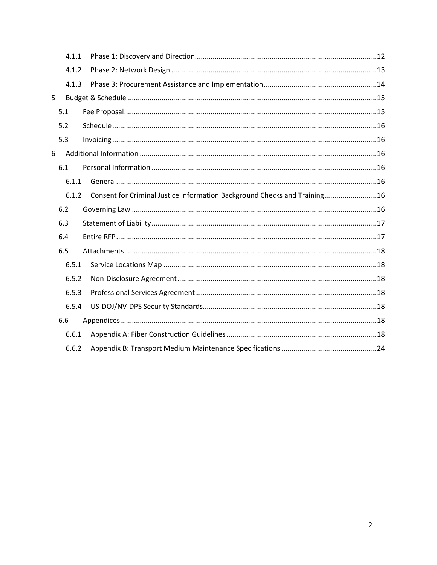|   | 4.1.1 |                                                                            |  |
|---|-------|----------------------------------------------------------------------------|--|
|   | 4.1.2 |                                                                            |  |
|   | 4.1.3 |                                                                            |  |
| 5 |       |                                                                            |  |
|   | 5.1   |                                                                            |  |
|   | 5.2   |                                                                            |  |
|   | 5.3   |                                                                            |  |
| 6 |       |                                                                            |  |
|   | 6.1   |                                                                            |  |
|   | 6.1.1 |                                                                            |  |
|   | 6.1.2 | Consent for Criminal Justice Information Background Checks and Training 16 |  |
|   | 6.2   |                                                                            |  |
|   | 6.3   |                                                                            |  |
|   | 6.4   |                                                                            |  |
|   | 6.5   |                                                                            |  |
|   | 6.5.1 |                                                                            |  |
|   | 6.5.2 |                                                                            |  |
|   | 6.5.3 |                                                                            |  |
|   | 6.5.4 |                                                                            |  |
|   | 6.6   |                                                                            |  |
|   | 6.6.1 |                                                                            |  |
|   | 6.6.2 |                                                                            |  |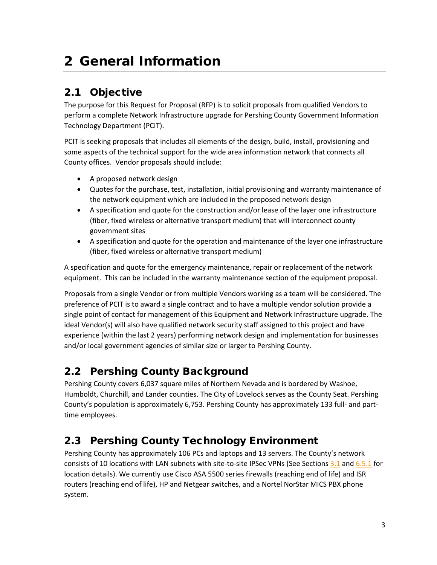# <span id="page-3-0"></span>2 General Information

### <span id="page-3-1"></span>2.1 Objective

The purpose for this Request for Proposal (RFP) is to solicit proposals from qualified Vendors to perform a complete Network Infrastructure upgrade for Pershing County Government Information Technology Department (PCIT).

PCIT is seeking proposals that includes all elements of the design, build, install, provisioning and some aspects of the technical support for the wide area information network that connects all County offices. Vendor proposals should include:

- A proposed network design
- Quotes for the purchase, test, installation, initial provisioning and warranty maintenance of the network equipment which are included in the proposed network design
- A specification and quote for the construction and/or lease of the layer one infrastructure (fiber, fixed wireless or alternative transport medium) that will interconnect county government sites
- A specification and quote for the operation and maintenance of the layer one infrastructure (fiber, fixed wireless or alternative transport medium)

A specification and quote for the emergency maintenance, repair or replacement of the network equipment. This can be included in the warranty maintenance section of the equipment proposal.

Proposals from a single Vendor or from multiple Vendors working as a team will be considered. The preference of PCIT is to award a single contract and to have a multiple vendor solution provide a single point of contact for management of this Equipment and Network Infrastructure upgrade. The ideal Vendor(s) will also have qualified network security staff assigned to this project and have experience (within the last 2 years) performing network design and implementation for businesses and/or local government agencies of similar size or larger to Pershing County.

### <span id="page-3-2"></span>2.2 Pershing County Background

Pershing County covers 6,037 square miles of Northern Nevada and is bordered by Washoe, Humboldt, Churchill, and Lander counties. The City of Lovelock serves as the County Seat. Pershing County's population is approximately 6,753. Pershing County has approximately 133 full- and parttime employees.

### <span id="page-3-3"></span>2.3 Pershing County Technology Environment

Pershing County has approximately 106 PCs and laptops and 13 servers. The County's network consists of 10 locations with LAN subnets with site-to-site IPSec VPNs (See Sections [3.1](#page-4-1) an[d 6.5.1](#page-18-1) for location details). We currently use Cisco ASA 5500 series firewalls (reaching end of life) and ISR routers (reaching end of life), HP and Netgear switches, and a Nortel NorStar MICS PBX phone system.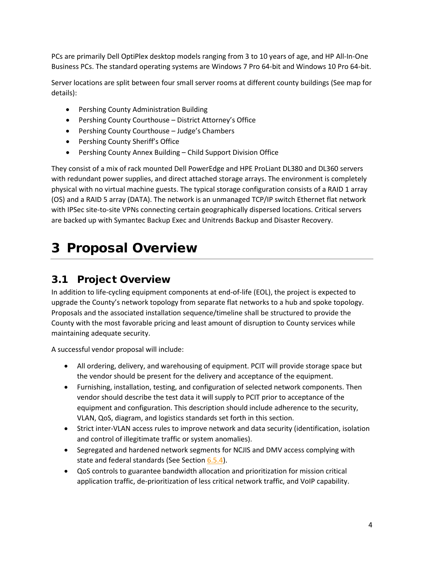PCs are primarily Dell OptiPlex desktop models ranging from 3 to 10 years of age, and HP All-In-One Business PCs. The standard operating systems are Windows 7 Pro 64-bit and Windows 10 Pro 64-bit.

Server locations are split between four small server rooms at different county buildings (See map for details):

- Pershing County Administration Building
- Pershing County Courthouse District Attorney's Office
- Pershing County Courthouse Judge's Chambers
- Pershing County Sheriff's Office
- Pershing County Annex Building Child Support Division Office

They consist of a mix of rack mounted Dell PowerEdge and HPE ProLiant DL380 and DL360 servers with redundant power supplies, and direct attached storage arrays. The environment is completely physical with no virtual machine guests. The typical storage configuration consists of a RAID 1 array (OS) and a RAID 5 array (DATA). The network is an unmanaged TCP/IP switch Ethernet flat network with IPSec site-to-site VPNs connecting certain geographically dispersed locations. Critical servers are backed up with Symantec Backup Exec and Unitrends Backup and Disaster Recovery.

# <span id="page-4-0"></span>3 Proposal Overview

### <span id="page-4-1"></span>3.1 Project Overview

In addition to life-cycling equipment components at end-of-life (EOL), the project is expected to upgrade the County's network topology from separate flat networks to a hub and spoke topology. Proposals and the associated installation sequence/timeline shall be structured to provide the County with the most favorable pricing and least amount of disruption to County services while maintaining adequate security.

A successful vendor proposal will include:

- All ordering, delivery, and warehousing of equipment. PCIT will provide storage space but the vendor should be present for the delivery and acceptance of the equipment.
- Furnishing, installation, testing, and configuration of selected network components. Then vendor should describe the test data it will supply to PCIT prior to acceptance of the equipment and configuration. This description should include adherence to the security, VLAN, QoS, diagram, and logistics standards set forth in this section.
- Strict inter-VLAN access rules to improve network and data security (identification, isolation and control of illegitimate traffic or system anomalies).
- Segregated and hardened network segments for NCJIS and DMV access complying with state and federal standards (See Section [6.5.4\)](#page-18-4).
- QoS controls to guarantee bandwidth allocation and prioritization for mission critical application traffic, de-prioritization of less critical network traffic, and VoIP capability.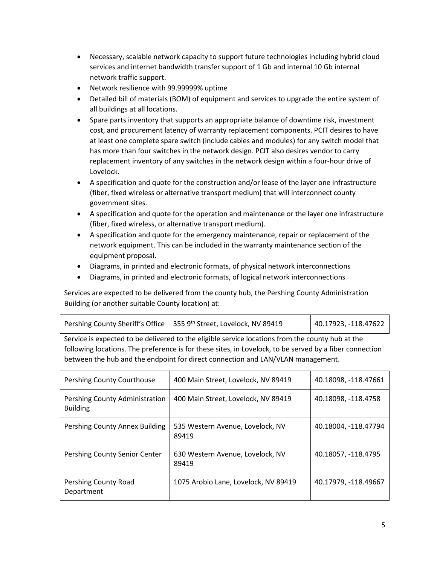- Necessary, scalable network capacity to support future technologies including hybrid cloud services and internet bandwidth transfer support of 1 Gb and internal 10 Gb internal network traffic support.
- Network resilience with 99.99999% uptime
- Detailed bill of materials (BOM) of equipment and services to upgrade the entire system of all buildings at all locations.
- Spare parts inventory that supports an appropriate balance of downtime risk, investment cost, and procurement latency of warranty replacement components. PCIT desires to have at least one complete spare switch (include cables and modules) for any switch model that has more than four switches in the network design. PCIT also desires vendor to carry replacement inventory of any switches in the network design within a four-hour drive of Lovelock.
- A specification and quote for the construction and/or lease of the layer one infrastructure (fiber, fixed wireless or alternative transport medium) that will interconnect county government sites.
- A specification and quote for the operation and maintenance or the layer one infrastructure (fiber, fixed wireless, or alternative transport medium).
- A specification and quote for the emergency maintenance, repair or replacement of the network equipment. This can be included in the warranty maintenance section of the equipment proposal.
- Diagrams, in printed and electronic formats, of physical network interconnections
- Diagrams, in printed and electronic formats, of logical network interconnections

Services are expected to be delivered from the county hub, the Pershing County Administration Building (or another suitable County location) at:

| Pershing County Sheriff's Office   355 9th Street, Lovelock, NV 89419 | $140.17923, -118.47622$ |
|-----------------------------------------------------------------------|-------------------------|
|                                                                       |                         |

Service is expected to be delivered to the eligible service locations from the county hub at the following locations. The preference is for these sites, in Lovelock, to be served by a fiber connection between the hub and the endpoint for direct connection and LAN/VLAN management.

| Pershing County Courthouse                        | 400 Main Street, Lovelock, NV 89419       | 40.18098, -118.47661 |
|---------------------------------------------------|-------------------------------------------|----------------------|
| Pershing County Administration<br><b>Building</b> | 400 Main Street, Lovelock, NV 89419       | 40.18098, -118.4758  |
| Pershing County Annex Building                    | 535 Western Avenue, Lovelock, NV<br>89419 | 40.18004, -118.47794 |
| Pershing County Senior Center                     | 630 Western Avenue, Lovelock, NV<br>89419 | 40.18057, -118.4795  |
| Pershing County Road<br>Department                | 1075 Arobio Lane, Lovelock, NV 89419      | 40.17979, -118.49667 |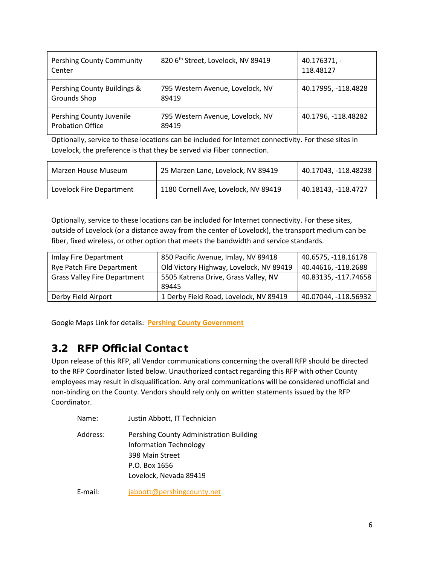| Pershing County Community<br>Center                 | 820 6th Street, Lovelock, NV 89419        | $40.176371,-$<br>118.48127 |
|-----------------------------------------------------|-------------------------------------------|----------------------------|
| Pershing County Buildings &<br>Grounds Shop         | 795 Western Avenue, Lovelock, NV<br>89419 | 40.17995, -118.4828        |
| Pershing County Juvenile<br><b>Probation Office</b> | 795 Western Avenue, Lovelock, NV<br>89419 | 40.1796, -118.48282        |

Optionally, service to these locations can be included for Internet connectivity. For these sites in Lovelock, the preference is that they be served via Fiber connection.

| Marzen House Museum      | 25 Marzen Lane, Lovelock, NV 89419   | 40.17043, -118.48238 |
|--------------------------|--------------------------------------|----------------------|
| Lovelock Fire Department | 1180 Cornell Ave, Lovelock, NV 89419 | 40.18143. -118.4727  |

Optionally, service to these locations can be included for Internet connectivity. For these sites, outside of Lovelock (or a distance away from the center of Lovelock), the transport medium can be fiber, fixed wireless, or other option that meets the bandwidth and service standards.

| Imlay Fire Department               | 850 Pacific Avenue, Imlay, NV 89418     | 40.6575, -118.16178  |  |
|-------------------------------------|-----------------------------------------|----------------------|--|
| <b>Rye Patch Fire Department</b>    | Old Victory Highway, Lovelock, NV 89419 | 40.44616, -118.2688  |  |
| <b>Grass Valley Fire Department</b> | 5505 Katrena Drive, Grass Valley, NV    | 40.83135, -117.74658 |  |
|                                     | 89445                                   |                      |  |
| Derby Field Airport                 | 1 Derby Field Road, Lovelock, NV 89419  | 40.07044, -118.56932 |  |

Google Maps Link for details: **[Pershing County Government](https://www.google.com/maps/d/edit?mid=1n-Fg0IrTuCeFKdNNbzb35eo1Ano9hkQA&ll=40.13347832879649%2C-118.49045808715817&z=12)**

### <span id="page-6-0"></span>3.2 RFP Official Contact

Upon release of this RFP, all Vendor communications concerning the overall RFP should be directed to the RFP Coordinator listed below. Unauthorized contact regarding this RFP with other County employees may result in disqualification. Any oral communications will be considered unofficial and non-binding on the County. Vendors should rely only on written statements issued by the RFP Coordinator.

| Name:    | Justin Abbott, IT Technician                                                                                                           |
|----------|----------------------------------------------------------------------------------------------------------------------------------------|
| Address: | Pershing County Administration Building<br><b>Information Technology</b><br>398 Main Street<br>P.O. Box 1656<br>Lovelock, Nevada 89419 |
| E-mail:  | jabbott@pershingcounty.net                                                                                                             |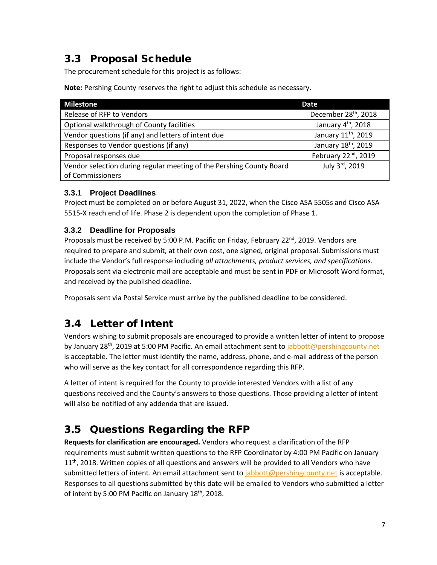# <span id="page-7-0"></span>3.3 Proposal Schedule

The procurement schedule for this project is as follows:

**Note:** Pershing County reserves the right to adjust this schedule as necessary.

| <b>Milestone</b>                                                     | Date                             |
|----------------------------------------------------------------------|----------------------------------|
| Release of RFP to Vendors                                            | December 28 <sup>th</sup> , 2018 |
| Optional walkthrough of County facilities                            | January 4 <sup>th</sup> , 2018   |
| Vendor questions (if any) and letters of intent due                  | January 11 <sup>th</sup> , 2019  |
| Responses to Vendor questions (if any)                               | January 18th, 2019               |
| Proposal responses due                                               | February 22 <sup>nd</sup> , 2019 |
| Vendor selection during regular meeting of the Pershing County Board | July 3rd, 2019                   |
| of Commissioners                                                     |                                  |

#### <span id="page-7-1"></span>**3.3.1 Project Deadlines**

Project must be completed on or before August 31, 2022, when the Cisco ASA 5505s and Cisco ASA 5515-X reach end of life. Phase 2 is dependent upon the completion of Phase 1.

#### <span id="page-7-2"></span>**3.3.2 Deadline for Proposals**

Proposals must be received by 5:00 P.M. Pacific on Friday, February 22<sup>nd</sup>, 2019. Vendors are required to prepare and submit, at their own cost, one signed, original proposal. Submissions must include the Vendor's full response including *all attachments, product services, and specifications.*  Proposals sent via electronic mail are acceptable and must be sent in PDF or Microsoft Word format, and received by the published deadline.

Proposals sent via Postal Service must arrive by the published deadline to be considered.

# <span id="page-7-3"></span>3.4 Letter of Intent

Vendors wishing to submit proposals are encouraged to provide a written letter of intent to propose by January 28<sup>th</sup>, 2019 at 5:00 PM Pacific. An email attachment sent t[o jabbott@pershingcounty.net](mailto:jabbott@pershingcounty.net) is acceptable. The letter must identify the name, address, phone, and e-mail address of the person who will serve as the key contact for all correspondence regarding this RFP.

A letter of intent is required for the County to provide interested Vendors with a list of any questions received and the County's answers to those questions. Those providing a letter of intent will also be notified of any addenda that are issued.

# <span id="page-7-4"></span>3.5 Questions Regarding the RFP

**Requests for clarification are encouraged.** Vendors who request a clarification of the RFP requirements must submit written questions to the RFP Coordinator by 4:00 PM Pacific on January  $11<sup>th</sup>$ , 2018. Written copies of all questions and answers will be provided to all Vendors who have submitted letters of intent. An email attachment sent t[o jabbott@pershingcounty.net](mailto:jabbott@pershingcounty.net) is acceptable. Responses to all questions submitted by this date will be emailed to Vendors who submitted a letter of intent by 5:00 PM Pacific on January  $18<sup>th</sup>$ , 2018.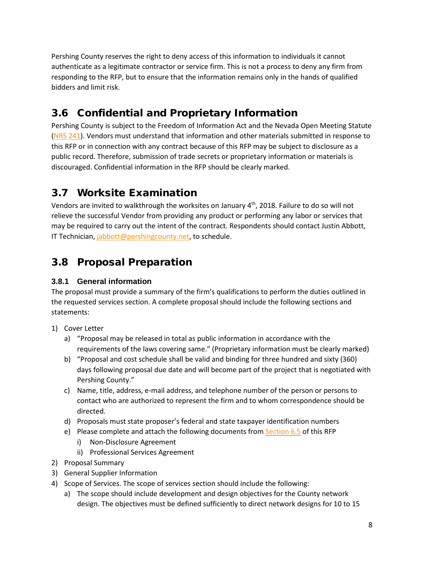Pershing County reserves the right to deny access of this information to individuals it cannot authenticate as a legitimate contractor or service firm. This is not a process to deny any firm from responding to the RFP, but to ensure that the information remains only in the hands of qualified bidders and limit risk.

# <span id="page-8-0"></span>3.6 Confidential and Proprietary Information

Pershing County is subject to the Freedom of Information Act and the Nevada Open Meeting Statute [\(NRS 241\)](https://www.leg.state.nv.us/NRS/NRS-241.html). Vendors must understand that information and other materials submitted in response to this RFP or in connection with any contract because of this RFP may be subject to disclosure as a public record. Therefore, submission of trade secrets or proprietary information or materials is discouraged. Confidential information in the RFP should be clearly marked.

# <span id="page-8-1"></span>3.7 Worksite Examination

Vendors are invited to walkthrough the worksites on January 4<sup>th</sup>, 2018. Failure to do so will not relieve the successful Vendor from providing any product or performing any labor or services that may be required to carry out the intent of the contract. Respondents should contact Justin Abbott, IT Technician[, jabbott@pershingcounty.net,](mailto:jabbott@pershingcounty.net) to schedule.

# <span id="page-8-2"></span>3.8 Proposal Preparation

#### <span id="page-8-3"></span>**3.8.1 General information**

The proposal must provide a summary of the firm's qualifications to perform the duties outlined in the requested services section. A complete proposal should include the following sections and statements:

- 1) Cover Letter
	- a) "Proposal may be released in total as public information in accordance with the requirements of the laws covering same." (Proprietary information must be clearly marked)
	- b) "Proposal and cost schedule shall be valid and binding for three hundred and sixty (360) days following proposal due date and will become part of the project that is negotiated with Pershing County."
	- c) Name, title, address, e-mail address, and telephone number of the person or persons to contact who are authorized to represent the firm and to whom correspondence should be directed.
	- d) Proposals must state proposer's federal and state taxpayer identification numbers
	- e) Please complete and attach the following documents from [Section 6.5](#page-18-0) of this RFP
		- i) Non-Disclosure Agreement
		- ii) Professional Services Agreement
- 2) Proposal Summary
- 3) General Supplier Information
- 4) Scope of Services. The scope of services section should include the following:
	- a) The scope should include development and design objectives for the County network design. The objectives must be defined sufficiently to direct network designs for 10 to 15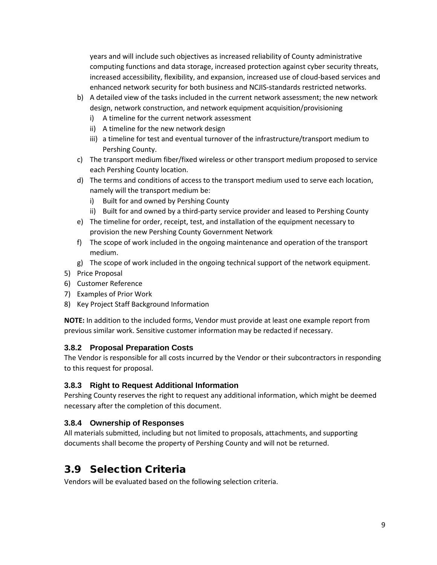years and will include such objectives as increased reliability of County administrative computing functions and data storage, increased protection against cyber security threats, increased accessibility, flexibility, and expansion, increased use of cloud-based services and enhanced network security for both business and NCJIS-standards restricted networks.

- b) A detailed view of the tasks included in the current network assessment; the new network design, network construction, and network equipment acquisition/provisioning
	- i) A timeline for the current network assessment
	- ii) A timeline for the new network design
	- iii) a timeline for test and eventual turnover of the infrastructure/transport medium to Pershing County.
- c) The transport medium fiber/fixed wireless or other transport medium proposed to service each Pershing County location.
- d) The terms and conditions of access to the transport medium used to serve each location, namely will the transport medium be:
	- i) Built for and owned by Pershing County
	- ii) Built for and owned by a third-party service provider and leased to Pershing County
- e) The timeline for order, receipt, test, and installation of the equipment necessary to provision the new Pershing County Government Network
- f) The scope of work included in the ongoing maintenance and operation of the transport medium.
- g) The scope of work included in the ongoing technical support of the network equipment.
- 5) Price Proposal
- 6) Customer Reference
- 7) Examples of Prior Work
- 8) Key Project Staff Background Information

**NOTE:** In addition to the included forms, Vendor must provide at least one example report from previous similar work. Sensitive customer information may be redacted if necessary.

#### <span id="page-9-0"></span>**3.8.2 Proposal Preparation Costs**

The Vendor is responsible for all costs incurred by the Vendor or their subcontractors in responding to this request for proposal.

#### <span id="page-9-1"></span>**3.8.3 Right to Request Additional Information**

Pershing County reserves the right to request any additional information, which might be deemed necessary after the completion of this document.

#### <span id="page-9-2"></span>**3.8.4 Ownership of Responses**

All materials submitted, including but not limited to proposals, attachments, and supporting documents shall become the property of Pershing County and will not be returned.

# <span id="page-9-3"></span>3.9 Selection Criteria

Vendors will be evaluated based on the following selection criteria.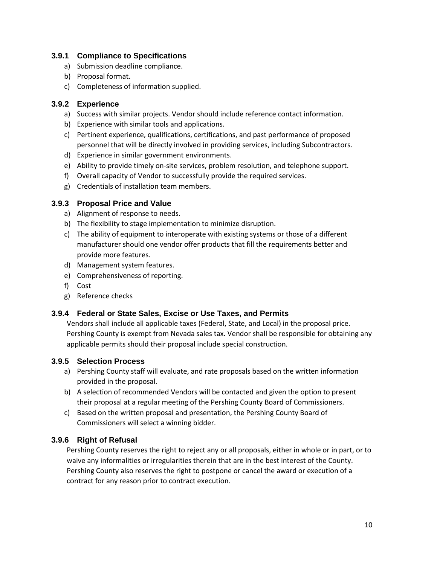#### <span id="page-10-0"></span>**3.9.1 Compliance to Specifications**

- a) Submission deadline compliance.
- b) Proposal format.
- c) Completeness of information supplied.

#### <span id="page-10-1"></span>**3.9.2 Experience**

- a) Success with similar projects. Vendor should include reference contact information.
- b) Experience with similar tools and applications.
- c) Pertinent experience, qualifications, certifications, and past performance of proposed personnel that will be directly involved in providing services, including Subcontractors.
- d) Experience in similar government environments.
- e) Ability to provide timely on-site services, problem resolution, and telephone support.
- f) Overall capacity of Vendor to successfully provide the required services.
- g) Credentials of installation team members.

#### <span id="page-10-2"></span>**3.9.3 Proposal Price and Value**

- a) Alignment of response to needs.
- b) The flexibility to stage implementation to minimize disruption.
- c) The ability of equipment to interoperate with existing systems or those of a different manufacturer should one vendor offer products that fill the requirements better and provide more features.
- d) Management system features.
- e) Comprehensiveness of reporting.
- f) Cost
- g) Reference checks

#### <span id="page-10-3"></span>**3.9.4 Federal or State Sales, Excise or Use Taxes, and Permits**

Vendors shall include all applicable taxes (Federal, State, and Local) in the proposal price. Pershing County is exempt from Nevada sales tax. Vendor shall be responsible for obtaining any applicable permits should their proposal include special construction.

#### <span id="page-10-4"></span>**3.9.5 Selection Process**

- a) Pershing County staff will evaluate, and rate proposals based on the written information provided in the proposal.
- b) A selection of recommended Vendors will be contacted and given the option to present their proposal at a regular meeting of the Pershing County Board of Commissioners.
- c) Based on the written proposal and presentation, the Pershing County Board of Commissioners will select a winning bidder.

#### <span id="page-10-5"></span>**3.9.6 Right of Refusal**

Pershing County reserves the right to reject any or all proposals, either in whole or in part, or to waive any informalities or irregularities therein that are in the best interest of the County. Pershing County also reserves the right to postpone or cancel the award or execution of a contract for any reason prior to contract execution.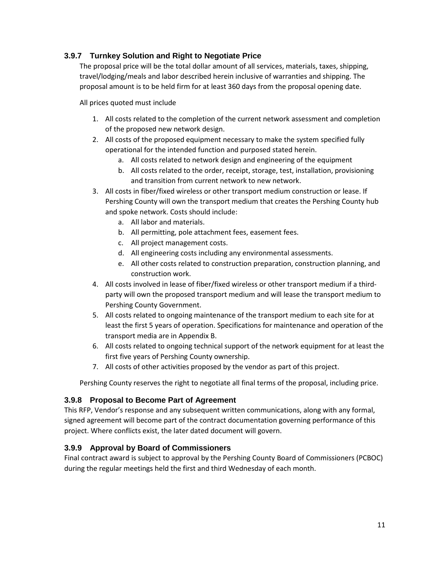#### <span id="page-11-0"></span>**3.9.7 Turnkey Solution and Right to Negotiate Price**

The proposal price will be the total dollar amount of all services, materials, taxes, shipping, travel/lodging/meals and labor described herein inclusive of warranties and shipping. The proposal amount is to be held firm for at least 360 days from the proposal opening date.

All prices quoted must include

- 1. All costs related to the completion of the current network assessment and completion of the proposed new network design.
- 2. All costs of the proposed equipment necessary to make the system specified fully operational for the intended function and purposed stated herein.
	- a. All costs related to network design and engineering of the equipment
	- b. All costs related to the order, receipt, storage, test, installation, provisioning and transition from current network to new network.
- 3. All costs in fiber/fixed wireless or other transport medium construction or lease. If Pershing County will own the transport medium that creates the Pershing County hub and spoke network. Costs should include:
	- a. All labor and materials.
	- b. All permitting, pole attachment fees, easement fees.
	- c. All project management costs.
	- d. All engineering costs including any environmental assessments.
	- e. All other costs related to construction preparation, construction planning, and construction work.
- 4. All costs involved in lease of fiber/fixed wireless or other transport medium if a thirdparty will own the proposed transport medium and will lease the transport medium to Pershing County Government.
- 5. All costs related to ongoing maintenance of the transport medium to each site for at least the first 5 years of operation. Specifications for maintenance and operation of the transport media are in Appendix B.
- 6. All costs related to ongoing technical support of the network equipment for at least the first five years of Pershing County ownership.
- 7. All costs of other activities proposed by the vendor as part of this project.

Pershing County reserves the right to negotiate all final terms of the proposal, including price.

#### <span id="page-11-1"></span>**3.9.8 Proposal to Become Part of Agreement**

This RFP, Vendor's response and any subsequent written communications, along with any formal, signed agreement will become part of the contract documentation governing performance of this project. Where conflicts exist, the later dated document will govern.

#### <span id="page-11-2"></span>**3.9.9 Approval by Board of Commissioners**

Final contract award is subject to approval by the Pershing County Board of Commissioners (PCBOC) during the regular meetings held the first and third Wednesday of each month.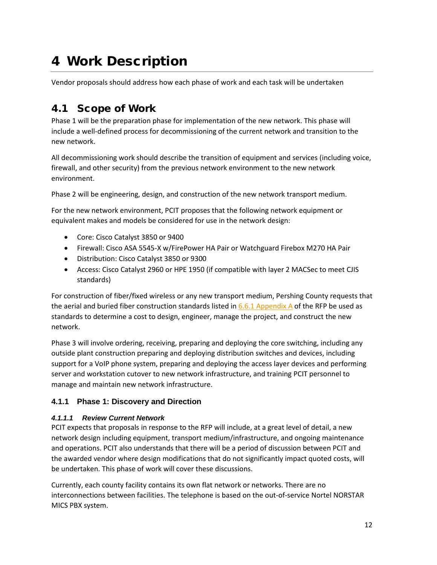# <span id="page-12-0"></span>4 Work Description

Vendor proposals should address how each phase of work and each task will be undertaken

# <span id="page-12-1"></span>4.1 Scope of Work

Phase 1 will be the preparation phase for implementation of the new network. This phase will include a well-defined process for decommissioning of the current network and transition to the new network.

All decommissioning work should describe the transition of equipment and services (including voice, firewall, and other security) from the previous network environment to the new network environment.

Phase 2 will be engineering, design, and construction of the new network transport medium.

For the new network environment, PCIT proposes that the following network equipment or equivalent makes and models be considered for use in the network design:

- Core: Cisco Catalyst 3850 or 9400
- Firewall: Cisco ASA 5545-X w/FirePower HA Pair or Watchguard Firebox M270 HA Pair
- Distribution: Cisco Catalyst 3850 or 9300
- Access: Cisco Catalyst 2960 or HPE 1950 (if compatible with layer 2 MACSec to meet CJIS standards)

For construction of fiber/fixed wireless or any new transport medium, Pershing County requests that the aerial and buried fiber construction standards listed in  $6.6.1$  Appendix A of the RFP be used as standards to determine a cost to design, engineer, manage the project, and construct the new network.

Phase 3 will involve ordering, receiving, preparing and deploying the core switching, including any outside plant construction preparing and deploying distribution switches and devices, including support for a VoIP phone system, preparing and deploying the access layer devices and performing server and workstation cutover to new network infrastructure, and training PCIT personnel to manage and maintain new network infrastructure.

#### <span id="page-12-2"></span>**4.1.1 Phase 1: Discovery and Direction**

#### *4.1.1.1 Review Current Network*

PCIT expects that proposals in response to the RFP will include, at a great level of detail, a new network design including equipment, transport medium/infrastructure, and ongoing maintenance and operations. PCIT also understands that there will be a period of discussion between PCIT and the awarded vendor where design modifications that do not significantly impact quoted costs, will be undertaken. This phase of work will cover these discussions.

Currently, each county facility contains its own flat network or networks. There are no interconnections between facilities. The telephone is based on the out-of-service Nortel NORSTAR MICS PBX system.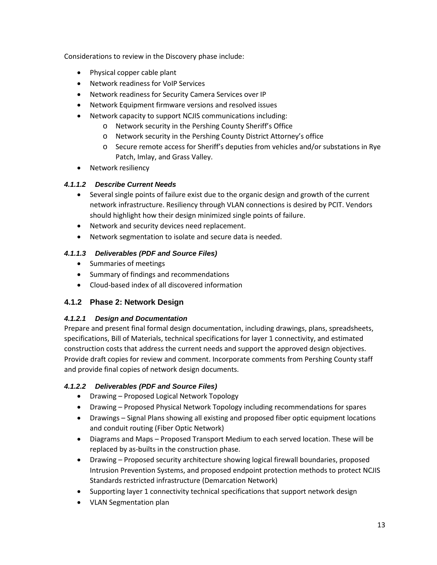Considerations to review in the Discovery phase include:

- Physical copper cable plant
- Network readiness for VoIP Services
- Network readiness for Security Camera Services over IP
- Network Equipment firmware versions and resolved issues
- Network capacity to support NCJIS communications including:
	- o Network security in the Pershing County Sheriff's Office
	- o Network security in the Pershing County District Attorney's office
	- o Secure remote access for Sheriff's deputies from vehicles and/or substations in Rye Patch, Imlay, and Grass Valley.
- Network resiliency

#### *4.1.1.2 Describe Current Needs*

- Several single points of failure exist due to the organic design and growth of the current network infrastructure. Resiliency through VLAN connections is desired by PCIT. Vendors should highlight how their design minimized single points of failure.
- Network and security devices need replacement.
- Network segmentation to isolate and secure data is needed.

#### *4.1.1.3 Deliverables (PDF and Source Files)*

- Summaries of meetings
- Summary of findings and recommendations
- Cloud-based index of all discovered information

#### <span id="page-13-0"></span>**4.1.2 Phase 2: Network Design**

#### *4.1.2.1 Design and Documentation*

Prepare and present final formal design documentation, including drawings, plans, spreadsheets, specifications, Bill of Materials, technical specifications for layer 1 connectivity, and estimated construction costs that address the current needs and support the approved design objectives. Provide draft copies for review and comment. Incorporate comments from Pershing County staff and provide final copies of network design documents.

#### *4.1.2.2 Deliverables (PDF and Source Files)*

- Drawing Proposed Logical Network Topology
- Drawing Proposed Physical Network Topology including recommendations for spares
- Drawings Signal Plans showing all existing and proposed fiber optic equipment locations and conduit routing (Fiber Optic Network)
- Diagrams and Maps Proposed Transport Medium to each served location. These will be replaced by as-builts in the construction phase.
- Drawing Proposed security architecture showing logical firewall boundaries, proposed Intrusion Prevention Systems, and proposed endpoint protection methods to protect NCJIS Standards restricted infrastructure (Demarcation Network)
- Supporting layer 1 connectivity technical specifications that support network design
- VLAN Segmentation plan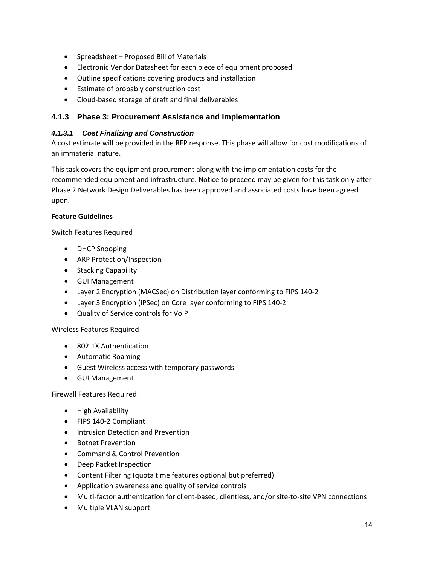- Spreadsheet Proposed Bill of Materials
- Electronic Vendor Datasheet for each piece of equipment proposed
- Outline specifications covering products and installation
- Estimate of probably construction cost
- Cloud-based storage of draft and final deliverables

#### <span id="page-14-0"></span>**4.1.3 Phase 3: Procurement Assistance and Implementation**

#### *4.1.3.1 Cost Finalizing and Construction*

A cost estimate will be provided in the RFP response. This phase will allow for cost modifications of an immaterial nature.

This task covers the equipment procurement along with the implementation costs for the recommended equipment and infrastructure. Notice to proceed may be given for this task only after Phase 2 Network Design Deliverables has been approved and associated costs have been agreed upon.

#### **Feature Guidelines**

Switch Features Required

- DHCP Snooping
- ARP Protection/Inspection
- Stacking Capability
- GUI Management
- Layer 2 Encryption (MACSec) on Distribution layer conforming to FIPS 140-2
- Layer 3 Encryption (IPSec) on Core layer conforming to FIPS 140-2
- Quality of Service controls for VoIP

Wireless Features Required

- 802.1X Authentication
- Automatic Roaming
- Guest Wireless access with temporary passwords
- GUI Management

Firewall Features Required:

- High Availability
- FIPS 140-2 Compliant
- Intrusion Detection and Prevention
- Botnet Prevention
- Command & Control Prevention
- Deep Packet Inspection
- Content Filtering (quota time features optional but preferred)
- Application awareness and quality of service controls
- Multi-factor authentication for client-based, clientless, and/or site-to-site VPN connections
- Multiple VLAN support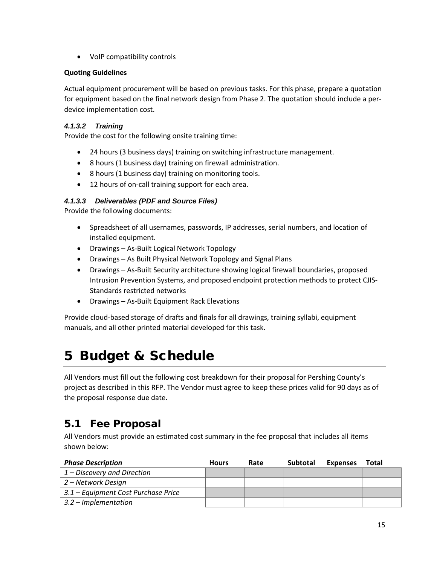• VoIP compatibility controls

#### **Quoting Guidelines**

Actual equipment procurement will be based on previous tasks. For this phase, prepare a quotation for equipment based on the final network design from Phase 2. The quotation should include a perdevice implementation cost.

#### *4.1.3.2 Training*

Provide the cost for the following onsite training time:

- 24 hours (3 business days) training on switching infrastructure management.
- 8 hours (1 business day) training on firewall administration.
- 8 hours (1 business day) training on monitoring tools.
- 12 hours of on-call training support for each area.

#### *4.1.3.3 Deliverables (PDF and Source Files)*

Provide the following documents:

- Spreadsheet of all usernames, passwords, IP addresses, serial numbers, and location of installed equipment.
- Drawings As-Built Logical Network Topology
- Drawings As Built Physical Network Topology and Signal Plans
- Drawings As-Built Security architecture showing logical firewall boundaries, proposed Intrusion Prevention Systems, and proposed endpoint protection methods to protect CJIS-Standards restricted networks
- Drawings As-Built Equipment Rack Elevations

Provide cloud-based storage of drafts and finals for all drawings, training syllabi, equipment manuals, and all other printed material developed for this task.

# <span id="page-15-0"></span>5 Budget & Schedule

All Vendors must fill out the following cost breakdown for their proposal for Pershing County's project as described in this RFP. The Vendor must agree to keep these prices valid for 90 days as of the proposal response due date.

# <span id="page-15-1"></span>5.1 Fee Proposal

All Vendors must provide an estimated cost summary in the fee proposal that includes all items shown below:

| <b>Phase Description</b>            | <b>Hours</b> | Rate | <b>Subtotal</b> | <b>Expenses</b> | Total |
|-------------------------------------|--------------|------|-----------------|-----------------|-------|
| 1 – Discovery and Direction         |              |      |                 |                 |       |
| 2 – Network Design                  |              |      |                 |                 |       |
| 3.1 – Equipment Cost Purchase Price |              |      |                 |                 |       |
| $3.2$ – Implementation              |              |      |                 |                 |       |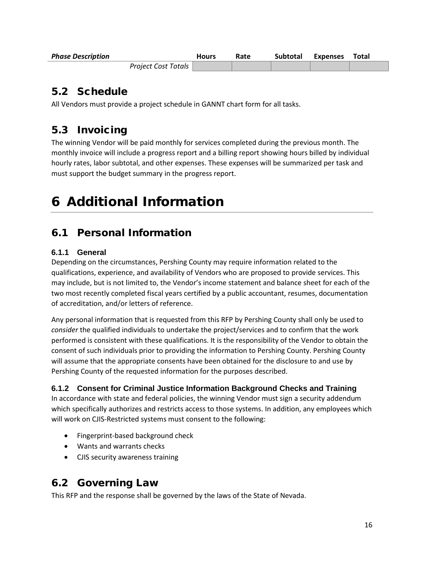| <b>Phase Description</b> | <b>Hours</b> | Rate | Subtotal | Expenses | Total |
|--------------------------|--------------|------|----------|----------|-------|
| Project Cost Totals      |              |      |          |          |       |

# <span id="page-16-0"></span>5.2 Schedule

All Vendors must provide a project schedule in GANNT chart form for all tasks.

# <span id="page-16-1"></span>5.3 Invoicing

The winning Vendor will be paid monthly for services completed during the previous month. The monthly invoice will include a progress report and a billing report showing hours billed by individual hourly rates, labor subtotal, and other expenses. These expenses will be summarized per task and must support the budget summary in the progress report.

# <span id="page-16-2"></span>6 Additional Information

# <span id="page-16-3"></span>6.1 Personal Information

#### <span id="page-16-4"></span>**6.1.1 General**

Depending on the circumstances, Pershing County may require information related to the qualifications, experience, and availability of Vendors who are proposed to provide services. This may include, but is not limited to, the Vendor's income statement and balance sheet for each of the two most recently completed fiscal years certified by a public accountant, resumes, documentation of accreditation, and/or letters of reference.

Any personal information that is requested from this RFP by Pershing County shall only be used to *consider* the qualified individuals to undertake the project/services and to confirm that the work performed is consistent with these qualifications. It is the responsibility of the Vendor to obtain the consent of such individuals prior to providing the information to Pershing County. Pershing County will assume that the appropriate consents have been obtained for the disclosure to and use by Pershing County of the requested information for the purposes described.

#### <span id="page-16-5"></span>**6.1.2 Consent for Criminal Justice Information Background Checks and Training**

In accordance with state and federal policies, the winning Vendor must sign a security addendum which specifically authorizes and restricts access to those systems. In addition, any employees which will work on CJIS-Restricted systems must consent to the following:

- Fingerprint-based background check
- Wants and warrants checks
- CJIS security awareness training

# <span id="page-16-6"></span>6.2 Governing Law

This RFP and the response shall be governed by the laws of the State of Nevada.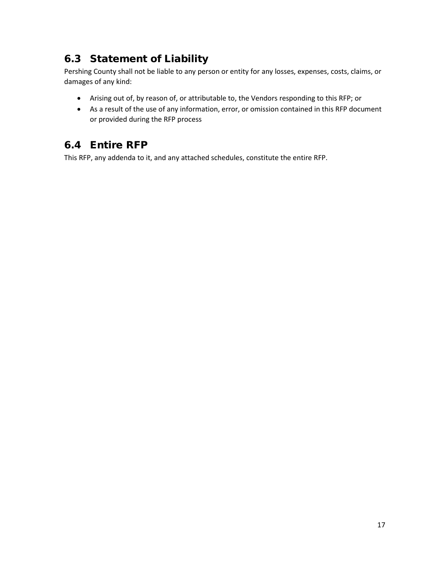# <span id="page-17-0"></span>6.3 Statement of Liability

Pershing County shall not be liable to any person or entity for any losses, expenses, costs, claims, or damages of any kind:

- Arising out of, by reason of, or attributable to, the Vendors responding to this RFP; or
- As a result of the use of any information, error, or omission contained in this RFP document or provided during the RFP process

# <span id="page-17-1"></span>6.4 Entire RFP

This RFP, any addenda to it, and any attached schedules, constitute the entire RFP.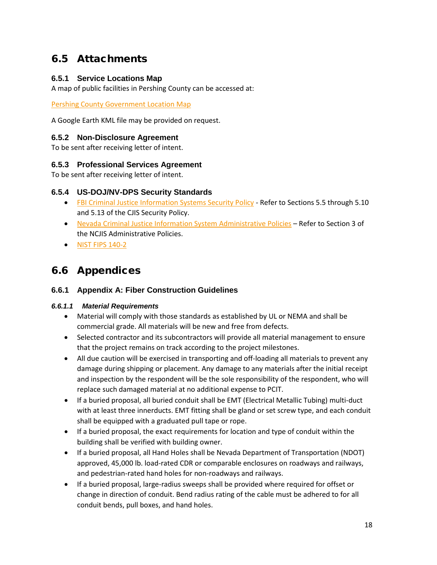## <span id="page-18-0"></span>6.5 Attachments

#### <span id="page-18-1"></span>**6.5.1 Service Locations Map**

A map of public facilities in Pershing County can be accessed at:

[Pershing County Government Location Map](https://drive.google.com/open?id=1yfA_l_w2dRKB6J5hjX1NyxzVOMbUzclp&usp=sharing)

A Google Earth KML file may be provided on request.

#### <span id="page-18-2"></span>**6.5.2 Non-Disclosure Agreement**

To be sent after receiving letter of intent.

#### <span id="page-18-3"></span>**6.5.3 Professional Services Agreement**

<span id="page-18-4"></span>To be sent after receiving letter of intent.

#### **6.5.4 US-DOJ/NV-DPS Security Standards**

- [FBI Criminal Justice Information Systems](http://www.pershingcounty.net/document_center/Department/information_technology/fbi-cjis-security-policies_v5-7_20180816.pdf) Security Policy Refer to Sections 5.5 through 5.10 and 5.13 of the CJIS Security Policy.
- [Nevada Criminal Justice Information System Administrative Policies](http://www.pershingcounty.net/document_center/Department/information_technology/ncjis-admin-policies-july-2016.pdf) Refer to Section 3 of the NCJIS Administrative Policies.
- [NIST FIPS 140-2](http://www.pershingcounty.net/document_center/Department/information_technology/NIST-FIPS-140-2.pdf)

### <span id="page-18-5"></span>6.6 Appendices

#### <span id="page-18-6"></span>**6.6.1 Appendix A: Fiber Construction Guidelines**

#### *6.6.1.1 Material Requirements*

- Material will comply with those standards as established by UL or NEMA and shall be commercial grade. All materials will be new and free from defects.
- Selected contractor and its subcontractors will provide all material management to ensure that the project remains on track according to the project milestones.
- All due caution will be exercised in transporting and off-loading all materials to prevent any damage during shipping or placement. Any damage to any materials after the initial receipt and inspection by the respondent will be the sole responsibility of the respondent, who will replace such damaged material at no additional expense to PCIT.
- If a buried proposal, all buried conduit shall be EMT (Electrical Metallic Tubing) multi-duct with at least three innerducts. EMT fitting shall be gland or set screw type, and each conduit shall be equipped with a graduated pull tape or rope.
- If a buried proposal, the exact requirements for location and type of conduit within the building shall be verified with building owner.
- If a buried proposal, all Hand Holes shall be Nevada Department of Transportation (NDOT) approved, 45,000 lb. load-rated CDR or comparable enclosures on roadways and railways, and pedestrian-rated hand holes for non-roadways and railways.
- If a buried proposal, large-radius sweeps shall be provided where required for offset or change in direction of conduit. Bend radius rating of the cable must be adhered to for all conduit bends, pull boxes, and hand holes.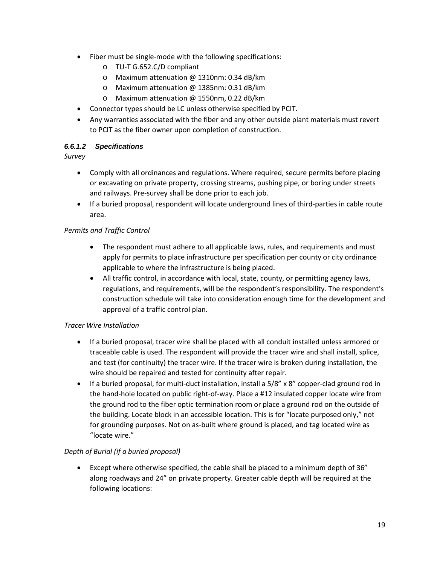- Fiber must be single-mode with the following specifications:
	- o TU-T G.652.C/D compliant
	- o Maximum attenuation @ 1310nm: 0.34 dB/km
	- o Maximum attenuation @ 1385nm: 0.31 dB/km
	- o Maximum attenuation @ 1550nm, 0.22 dB/km
- Connector types should be LC unless otherwise specified by PCIT.
- Any warranties associated with the fiber and any other outside plant materials must revert to PCIT as the fiber owner upon completion of construction.

#### *6.6.1.2 Specifications*

*Survey*

- Comply with all ordinances and regulations. Where required, secure permits before placing or excavating on private property, crossing streams, pushing pipe, or boring under streets and railways. Pre-survey shall be done prior to each job.
- If a buried proposal, respondent will locate underground lines of third-parties in cable route area.

#### *Permits and Traffic Control*

- The respondent must adhere to all applicable laws, rules, and requirements and must apply for permits to place infrastructure per specification per county or city ordinance applicable to where the infrastructure is being placed.
- All traffic control, in accordance with local, state, county, or permitting agency laws, regulations, and requirements, will be the respondent's responsibility. The respondent's construction schedule will take into consideration enough time for the development and approval of a traffic control plan.

#### *Tracer Wire Installation*

- If a buried proposal, tracer wire shall be placed with all conduit installed unless armored or traceable cable is used. The respondent will provide the tracer wire and shall install, splice, and test (for continuity) the tracer wire. If the tracer wire is broken during installation, the wire should be repaired and tested for continuity after repair.
- If a buried proposal, for multi-duct installation, install a  $5/8$ " x  $8$ " copper-clad ground rod in the hand-hole located on public right-of-way. Place a #12 insulated copper locate wire from the ground rod to the fiber optic termination room or place a ground rod on the outside of the building. Locate block in an accessible location. This is for "locate purposed only," not for grounding purposes. Not on as-built where ground is placed, and tag located wire as "locate wire."

#### *Depth of Burial (if a buried proposal)*

• Except where otherwise specified, the cable shall be placed to a minimum depth of 36" along roadways and 24" on private property. Greater cable depth will be required at the following locations: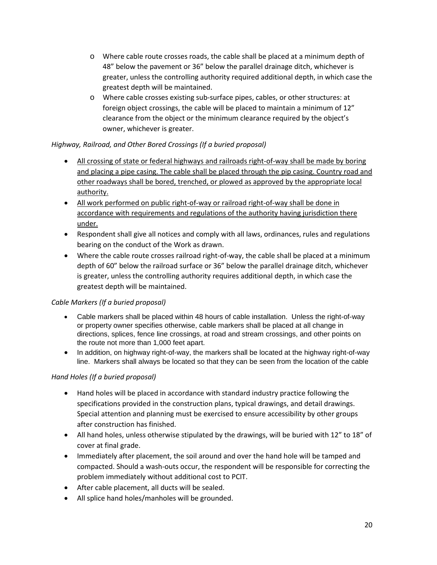- o Where cable route crosses roads, the cable shall be placed at a minimum depth of 48" below the pavement or 36" below the parallel drainage ditch, whichever is greater, unless the controlling authority required additional depth, in which case the greatest depth will be maintained.
- o Where cable crosses existing sub-surface pipes, cables, or other structures: at foreign object crossings, the cable will be placed to maintain a minimum of 12" clearance from the object or the minimum clearance required by the object's owner, whichever is greater.

#### *Highway, Railroad, and Other Bored Crossings (If a buried proposal)*

- All crossing of state or federal highways and railroads right-of-way shall be made by boring and placing a pipe casing. The cable shall be placed through the pip casing. Country road and other roadways shall be bored, trenched, or plowed as approved by the appropriate local authority.
- All work performed on public right-of-way or railroad right-of-way shall be done in accordance with requirements and regulations of the authority having jurisdiction there under.
- Respondent shall give all notices and comply with all laws, ordinances, rules and regulations bearing on the conduct of the Work as drawn.
- Where the cable route crosses railroad right-of-way, the cable shall be placed at a minimum depth of 60" below the railroad surface or 36" below the parallel drainage ditch, whichever is greater, unless the controlling authority requires additional depth, in which case the greatest depth will be maintained.

#### *Cable Markers (If a buried proposal)*

- Cable markers shall be placed within 48 hours of cable installation. Unless the right-of-wav or property owner specifies otherwise, cable markers shall be placed at all change in directions, splices, fence line crossings, at road and stream crossings, and other points on the route not more than 1,000 feet apart.
- In addition, on highway right-of-way, the markers shall be located at the highway right-of-way line. Markers shall always be located so that they can be seen from the location of the cable

#### *Hand Holes (If a buried proposal)*

- Hand holes will be placed in accordance with standard industry practice following the specifications provided in the construction plans, typical drawings, and detail drawings. Special attention and planning must be exercised to ensure accessibility by other groups after construction has finished.
- All hand holes, unless otherwise stipulated by the drawings, will be buried with 12" to 18" of cover at final grade.
- Immediately after placement, the soil around and over the hand hole will be tamped and compacted. Should a wash-outs occur, the respondent will be responsible for correcting the problem immediately without additional cost to PCIT.
- After cable placement, all ducts will be sealed.
- All splice hand holes/manholes will be grounded.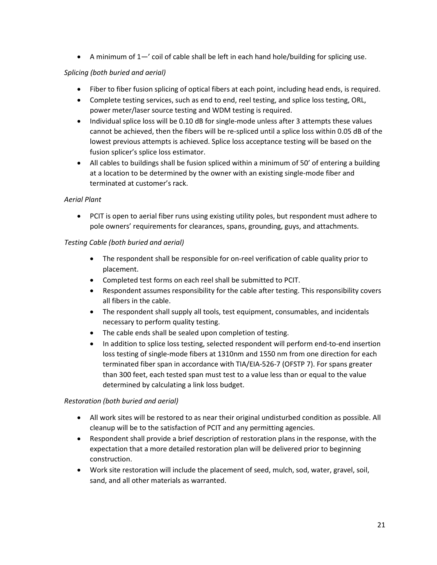• A minimum of  $1 - i$  coil of cable shall be left in each hand hole/building for splicing use.

#### *Splicing (both buried and aerial)*

- Fiber to fiber fusion splicing of optical fibers at each point, including head ends, is required.
- Complete testing services, such as end to end, reel testing, and splice loss testing, ORL, power meter/laser source testing and WDM testing is required.
- Individual splice loss will be 0.10 dB for single-mode unless after 3 attempts these values cannot be achieved, then the fibers will be re-spliced until a splice loss within 0.05 dB of the lowest previous attempts is achieved. Splice loss acceptance testing will be based on the fusion splicer's splice loss estimator.
- All cables to buildings shall be fusion spliced within a minimum of 50' of entering a building at a location to be determined by the owner with an existing single-mode fiber and terminated at customer's rack.

#### *Aerial Plant*

• PCIT is open to aerial fiber runs using existing utility poles, but respondent must adhere to pole owners' requirements for clearances, spans, grounding, guys, and attachments.

#### *Testing Cable (both buried and aerial)*

- The respondent shall be responsible for on-reel verification of cable quality prior to placement.
- Completed test forms on each reel shall be submitted to PCIT.
- Respondent assumes responsibility for the cable after testing. This responsibility covers all fibers in the cable.
- The respondent shall supply all tools, test equipment, consumables, and incidentals necessary to perform quality testing.
- The cable ends shall be sealed upon completion of testing.
- In addition to splice loss testing, selected respondent will perform end-to-end insertion loss testing of single-mode fibers at 1310nm and 1550 nm from one direction for each terminated fiber span in accordance with TIA/EIA-526-7 (OFSTP 7). For spans greater than 300 feet, each tested span must test to a value less than or equal to the value determined by calculating a link loss budget.

#### *Restoration (both buried and aerial)*

- All work sites will be restored to as near their original undisturbed condition as possible. All cleanup will be to the satisfaction of PCIT and any permitting agencies.
- Respondent shall provide a brief description of restoration plans in the response, with the expectation that a more detailed restoration plan will be delivered prior to beginning construction.
- Work site restoration will include the placement of seed, mulch, sod, water, gravel, soil, sand, and all other materials as warranted.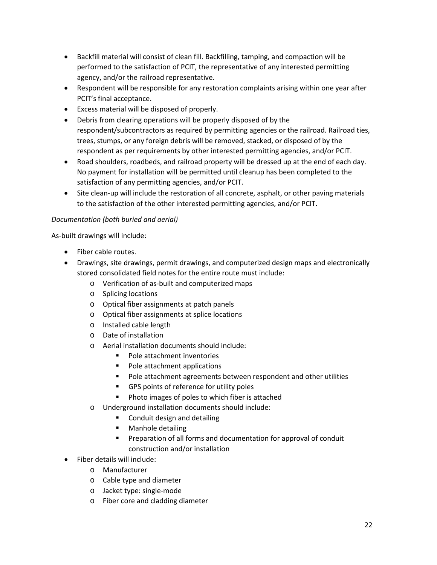- Backfill material will consist of clean fill. Backfilling, tamping, and compaction will be performed to the satisfaction of PCIT, the representative of any interested permitting agency, and/or the railroad representative.
- Respondent will be responsible for any restoration complaints arising within one year after PCIT's final acceptance.
- Excess material will be disposed of properly.
- Debris from clearing operations will be properly disposed of by the respondent/subcontractors as required by permitting agencies or the railroad. Railroad ties, trees, stumps, or any foreign debris will be removed, stacked, or disposed of by the respondent as per requirements by other interested permitting agencies, and/or PCIT.
- Road shoulders, roadbeds, and railroad property will be dressed up at the end of each day. No payment for installation will be permitted until cleanup has been completed to the satisfaction of any permitting agencies, and/or PCIT.
- Site clean-up will include the restoration of all concrete, asphalt, or other paving materials to the satisfaction of the other interested permitting agencies, and/or PCIT.

#### *Documentation (both buried and aerial)*

As-built drawings will include:

- Fiber cable routes.
- Drawings, site drawings, permit drawings, and computerized design maps and electronically stored consolidated field notes for the entire route must include:
	- o Verification of as-built and computerized maps
	- o Splicing locations
	- o Optical fiber assignments at patch panels
	- o Optical fiber assignments at splice locations
	- o Installed cable length
	- o Date of installation
	- o Aerial installation documents should include:
		- Pole attachment inventories
		- Pole attachment applications
		- **Pole attachment agreements between respondent and other utilities**
		- GPS points of reference for utility poles
		- **Photo images of poles to which fiber is attached**
	- o Underground installation documents should include:
		- Conduit design and detailing
		- **Manhole detailing**
		- Preparation of all forms and documentation for approval of conduit construction and/or installation
- Fiber details will include:
	- o Manufacturer
	- o Cable type and diameter
	- o Jacket type: single-mode
	- o Fiber core and cladding diameter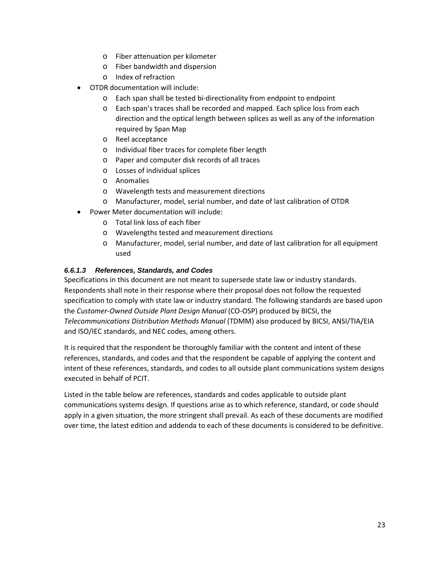- o Fiber attenuation per kilometer
- o Fiber bandwidth and dispersion
- o Index of refraction
- OTDR documentation will include:
	- o Each span shall be tested bi-directionality from endpoint to endpoint
	- o Each span's traces shall be recorded and mapped. Each splice loss from each direction and the optical length between splices as well as any of the information required by Span Map
	- o Reel acceptance
	- o Individual fiber traces for complete fiber length
	- o Paper and computer disk records of all traces
	- o Losses of individual splices
	- o Anomalies
	- o Wavelength tests and measurement directions
	- o Manufacturer, model, serial number, and date of last calibration of OTDR
- Power Meter documentation will include:
	- o Total link loss of each fiber
	- o Wavelengths tested and measurement directions
	- o Manufacturer, model, serial number, and date of last calibration for all equipment used

#### *6.6.1.3 References, Standards, and Codes*

Specifications in this document are not meant to supersede state law or industry standards. Respondents shall note in their response where their proposal does not follow the requested specification to comply with state law or industry standard. The following standards are based upon the *Customer-Owned Outside Plant Design Manual* (CO-OSP) produced by BICSI, the *Telecommunications Distribution Methods Manual* (TDMM) also produced by BICSI, ANSI/TIA/EIA and ISO/IEC standards, and NEC codes, among others.

It is required that the respondent be thoroughly familiar with the content and intent of these references, standards, and codes and that the respondent be capable of applying the content and intent of these references, standards, and codes to all outside plant communications system designs executed in behalf of PCIT.

Listed in the table below are references, standards and codes applicable to outside plant communications systems design. If questions arise as to which reference, standard, or code should apply in a given situation, the more stringent shall prevail. As each of these documents are modified over time, the latest edition and addenda to each of these documents is considered to be definitive.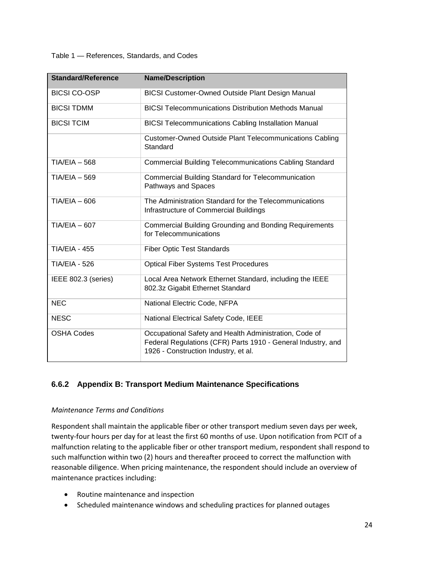#### Table 1 — References, Standards, and Codes

| <b>Standard/Reference</b> | <b>Name/Description</b>                                                                                                                                        |
|---------------------------|----------------------------------------------------------------------------------------------------------------------------------------------------------------|
| <b>BICSI CO-OSP</b>       | <b>BICSI Customer-Owned Outside Plant Design Manual</b>                                                                                                        |
| <b>BICSI TDMM</b>         | <b>BICSI Telecommunications Distribution Methods Manual</b>                                                                                                    |
| <b>BICSI TCIM</b>         | <b>BICSI Telecommunications Cabling Installation Manual</b>                                                                                                    |
|                           | Customer-Owned Outside Plant Telecommunications Cabling<br>Standard                                                                                            |
| $TIA/EIA - 568$           | <b>Commercial Building Telecommunications Cabling Standard</b>                                                                                                 |
| $TIA/EIA - 569$           | <b>Commercial Building Standard for Telecommunication</b><br>Pathways and Spaces                                                                               |
| $TIA/EIA - 606$           | The Administration Standard for the Telecommunications<br>Infrastructure of Commercial Buildings                                                               |
| $TIA/EIA - 607$           | <b>Commercial Building Grounding and Bonding Requirements</b><br>for Telecommunications                                                                        |
| <b>TIA/EIA - 455</b>      | <b>Fiber Optic Test Standards</b>                                                                                                                              |
| <b>TIA/EIA - 526</b>      | <b>Optical Fiber Systems Test Procedures</b>                                                                                                                   |
| IEEE 802.3 (series)       | Local Area Network Ethernet Standard, including the IEEE<br>802.3z Gigabit Ethernet Standard                                                                   |
| <b>NEC</b>                | National Electric Code, NFPA                                                                                                                                   |
| <b>NESC</b>               | National Electrical Safety Code, IEEE                                                                                                                          |
| <b>OSHA Codes</b>         | Occupational Safety and Health Administration, Code of<br>Federal Regulations (CFR) Parts 1910 - General Industry, and<br>1926 - Construction Industry, et al. |

#### <span id="page-24-0"></span>**6.6.2 Appendix B: Transport Medium Maintenance Specifications**

#### *Maintenance Terms and Conditions*

Respondent shall maintain the applicable fiber or other transport medium seven days per week, twenty-four hours per day for at least the first 60 months of use. Upon notification from PCIT of a malfunction relating to the applicable fiber or other transport medium, respondent shall respond to such malfunction within two (2) hours and thereafter proceed to correct the malfunction with reasonable diligence. When pricing maintenance, the respondent should include an overview of maintenance practices including:

- Routine maintenance and inspection
- Scheduled maintenance windows and scheduling practices for planned outages